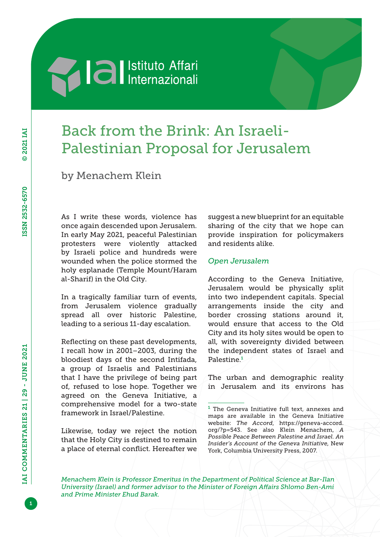# **Sand Separate Separate Separate Separate Separate Separate Separate Separate Separate Separate Separate Separate Separate Separate Separate Separate Separate Separate Separate Separate Separate Separate Separate Separate**

## Back from the Brink: An Israeli-Palestinian Proposal for Jerusalem

by Menachem Klein

As I write these words, violence has once again descended upon Jerusalem. In early May 2021, peaceful Palestinian protesters were violently attacked by Israeli police and hundreds were wounded when the police stormed the holy esplanade (Temple Mount/Haram al-Sharif) in the Old City.

In a tragically familiar turn of events, from Jerusalem violence gradually spread all over historic Palestine, leading to a serious 11-day escalation.

Reflecting on these past developments, I recall how in 2001–2003, during the bloodiest days of the second Intifada, a group of Israelis and Palestinians that I have the privilege of being part of, refused to lose hope. Together we agreed on the Geneva Initiative, a comprehensive model for a two-state framework in Israel/Palestine.

Likewise, today we reject the notion that the Holy City is destined to remain a place of eternal conflict. Hereafter we

suggest a new blueprint for an equitable sharing of the city that we hope can provide inspiration for policymakers and residents alike.

#### *Open Jerusalem*

According to the Geneva Initiative, Jerusalem would be physically split into two independent capitals. Special arrangements inside the city and border crossing stations around it, would ensure that access to the Old City and its holy sites would be open to all, with sovereignty divided between the independent states of Israel and Palestine.<sup>1</sup>

The urban and demographic reality in Jerusalem and its environs has

*Menachem Klein is Professor Emeritus in the Department of Political Science at Bar-Ilan University (Israel) and former advisor to the Minister of Foreign Affairs Shlomo Ben-Ami and Prime Minister Ehud Barak.*

 $1$  The Geneva Initiative full text, annexes and maps are available in the Geneva Initiative website: *The Accord*, [https://geneva-accord.](https://geneva-accord.org/?p=543) [org/?p=543.](https://geneva-accord.org/?p=543) See also Klein Menachem, *A Possible Peace Between Palestine and Israel. An Insider's Account of the Geneva Initiative*, New York, Columbia University Press, 2007.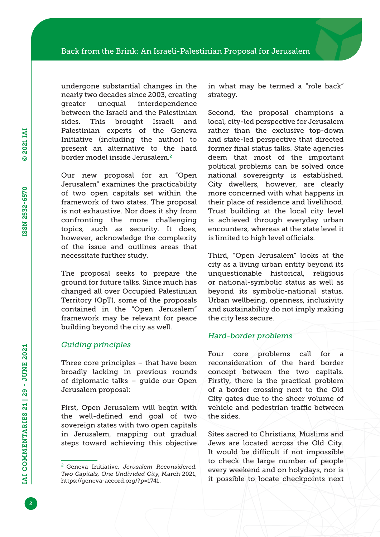undergone substantial changes in the nearly two decades since 2003, creating greater unequal interdependence between the Israeli and the Palestinian sides. This brought Israeli and Palestinian experts of the Geneva Initiative (including the author) to present an alternative to the hard border model inside Jerusalem.<sup>2</sup>

Our new proposal for an "Open Jerusalem" examines the practicability of two open capitals set within the framework of two states. The proposal is not exhaustive. Nor does it shy from confronting the more challenging topics, such as security. It does, however, acknowledge the complexity of the issue and outlines areas that necessitate further study.

The proposal seeks to prepare the ground for future talks. Since much has changed all over Occupied Palestinian Territory (OpT), some of the proposals contained in the "Open Jerusalem" framework may be relevant for peace building beyond the city as well.

#### *Guiding principles*

Three core principles – that have been broadly lacking in previous rounds of diplomatic talks – guide our Open Jerusalem proposal:

First, Open Jerusalem will begin with the well-defined end goal of two sovereign states with two open capitals in Jerusalem, mapping out gradual steps toward achieving this objective in what may be termed a "role back" strategy.

Second, the proposal champions a local, city-led perspective for Jerusalem rather than the exclusive top-down and state-led perspective that directed former final status talks. State agencies deem that most of the important political problems can be solved once national sovereignty is established. City dwellers, however, are clearly more concerned with what happens in their place of residence and livelihood. Trust building at the local city level is achieved through everyday urban encounters, whereas at the state level it is limited to high level officials.

Third, "Open Jerusalem" looks at the city as a living urban entity beyond its unquestionable historical, religious or national-symbolic status as well as beyond its symbolic-national status. Urban wellbeing, openness, inclusivity and sustainability do not imply making the city less secure.

#### *Hard-border problems*

Four core problems call for a reconsideration of the hard border concept between the two capitals. Firstly, there is the practical problem of a border crossing next to the Old City gates due to the sheer volume of vehicle and pedestrian traffic between the sides.

Sites sacred to Christians, Muslims and Jews are located across the Old City. It would be difficult if not impossible to check the large number of people every weekend and on holydays, nor is it possible to locate checkpoints next

<sup>2</sup> Geneva Initiative, *Jerusalem Reconsidered. Two Capitals, One Undivided City*, March 2021, [https://geneva-accord.org/?p=1741.](https://geneva-accord.org/?p=1741)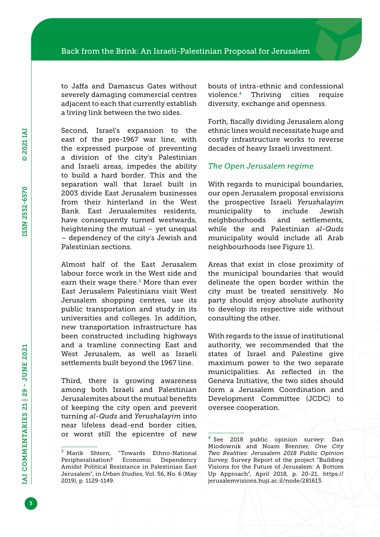to Jaffa and Damascus Gates without severely damaging commercial centres adjacent to each that currently establish a living link between the two sides.

Second, Israel's expansion to the east of the pre-1967 war line, with the expressed purpose of preventing a division of the city's Palestinian and Israeli areas, impedes the ability to build a hard border. This and the separation wall that Israel built in 2003 divide East Jerusalem businesses from their hinterland in the West Bank. East Jerusalemites residents, have consequently turned westwards, heightening the mutual – yet unequal – dependency of the city's Jewish and Palestinian sections.

Almost half of the East Jerusalem labour force work in the West side and earn their wage there.<sup>3</sup> More than ever East Jerusalem Palestinians visit West Jerusalem shopping centres, use its public transportation and study in its universities and colleges. In addition, new transportation infrastructure has been constructed including highways and a tramline connecting East and West Jerusalem, as well as Israeli settlements built beyond the 1967 line.

Third, there is growing awareness among both Israeli and Palestinian Jerusalemites about the mutual benefits of keeping the city open and prevent turning *al-Quds* and *Yerushalayim* into near lifeless dead-end border cities, or worst still the epicentre of new bouts of intra-ethnic and confessional violence.4 Thriving cities require diversity, exchange and openness.

Forth, fiscally dividing Jerusalem along ethnic lines would necessitate huge and costly infrastructure works to reverse decades of heavy Israeli investment.

#### *The Open Jerusalem regime*

With regards to municipal boundaries, our open Jerusalem proposal envisions the prospective Israeli *Yerushalayim*  municipality to include Jewish neighbourhoods and settlements, while the and Palestinian *al-Quds*  municipality would include all Arab neighbourhoods (see Figure 1).

Areas that exist in close proximity of the municipal boundaries that would delineate the open border within the city must be treated sensitively. No party should enjoy absolute authority to develop its respective side without consulting the other.

With regards to the issue of institutional authority, we recommended that the states of Israel and Palestine give maximum power to the two separate municipalities. As reflected in the Geneva Initiative, the two sides should form a Jerusalem Coordination and Development Committee (JCDC) to oversee cooperation.

<sup>3</sup> Marik Shtern, "Towards Ethno-National Peripheralisation? Economic Dependency Amidst Political Resistance in Palestinian East Jerusalem", in *Urban Studies*, Vol. 56, No. 6 (May 2019), p. 1129-1149.

<sup>4</sup> See 2018 public opinion survey: Dan Miodownik and Noam Brenner, *One City Two Realities: Jerusalem 2018 Public Opinion Survey*, Survey Report of the project "Building Visions for the Future of Jerusalem: A Bottom Up Approach", April 2018, p. 20-21, [https://](https://jerusalemvisions.huji.ac.il/node/281613) [jerusalemvisions.huji.ac.il/node/281613.](https://jerusalemvisions.huji.ac.il/node/281613)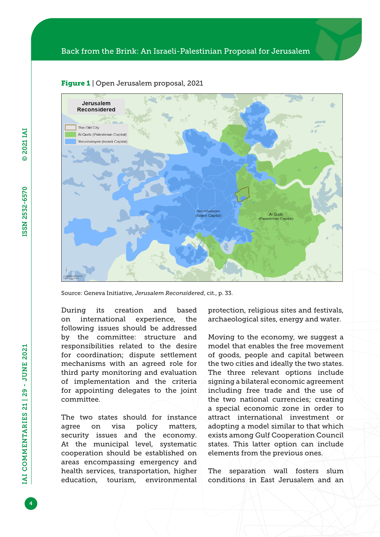

#### Figure 1 | Open Jerusalem proposal, 2021

Source: Geneva Initiative, *Jerusalem Reconsidered*, cit., p. 33.

During its creation and based on international experience, the following issues should be addressed by the committee: structure and responsibilities related to the desire for coordination; dispute settlement mechanisms with an agreed role for third party monitoring and evaluation of implementation and the criteria for appointing delegates to the joint committee.

The two states should for instance agree on visa policy matters, security issues and the economy. At the municipal level, systematic cooperation should be established on areas encompassing emergency and health services, transportation, higher education, tourism, environmental protection, religious sites and festivals, archaeological sites, energy and water.

Moving to the economy, we suggest a model that enables the free movement of goods, people and capital between the two cities and ideally the two states. The three relevant options include signing a bilateral economic agreement including free trade and the use of the two national currencies; creating a special economic zone in order to attract international investment or adopting a model similar to that which exists among Gulf Cooperation Council states. This latter option can include elements from the previous ones.

The separation wall fosters slum conditions in East Jerusalem and an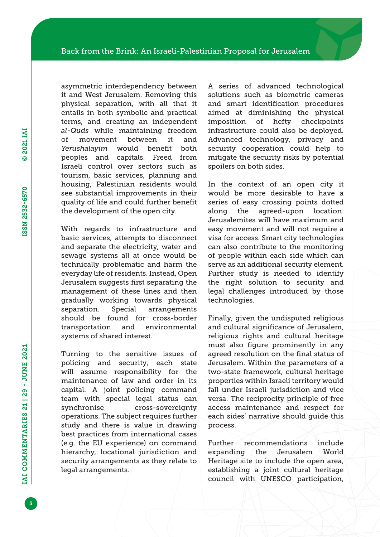asymmetric interdependency between it and West Jerusalem. Removing this physical separation, with all that it entails in both symbolic and practical terms, and creating an independent *al-Quds* while maintaining freedom of movement between it and *Yerushalayim* would benefit both peoples and capitals. Freed from Israeli control over sectors such as tourism, basic services, planning and housing, Palestinian residents would see substantial improvements in their quality of life and could further benefit the development of the open city.

With regards to infrastructure and basic services, attempts to disconnect and separate the electricity, water and sewage systems all at once would be technically problematic and harm the everyday life of residents. Instead, Open Jerusalem suggests first separating the management of these lines and then gradually working towards physical separation. Special arrangements should be found for cross-border transportation and environmental systems of shared interest.

Turning to the sensitive issues of policing and security, each state will assume responsibility for the maintenance of law and order in its capital. A joint policing command team with special legal status can synchronise cross-sovereignty operations. The subject requires further study and there is value in drawing best practices from international cases (e.g. the EU experience) on command hierarchy, locational jurisdiction and security arrangements as they relate to legal arrangements.

A series of advanced technological solutions such as biometric cameras and smart identification procedures aimed at diminishing the physical imposition of hefty checkpoints infrastructure could also be deployed. Advanced technology, privacy and security cooperation could help to mitigate the security risks by potential spoilers on both sides.

In the context of an open city it would be more desirable to have a series of easy crossing points dotted along the agreed-upon location. Jerusalemites will have maximum and easy movement and will not require a visa for access. Smart city technologies can also contribute to the monitoring of people within each side which can serve as an additional security element. Further study is needed to identify the right solution to security and legal challenges introduced by those technologies.

Finally, given the undisputed religious and cultural significance of Jerusalem, religious rights and cultural heritage must also figure prominently in any agreed resolution on the final status of Jerusalem. Within the parameters of a two-state framework, cultural heritage properties within Israeli territory would fall under Israeli jurisdiction and vice versa. The reciprocity principle of free access maintenance and respect for each sides' narrative should guide this process.

Further recommendations include expanding the Jerusalem World Heritage site to include the open area, establishing a joint cultural heritage council with UNESCO participation,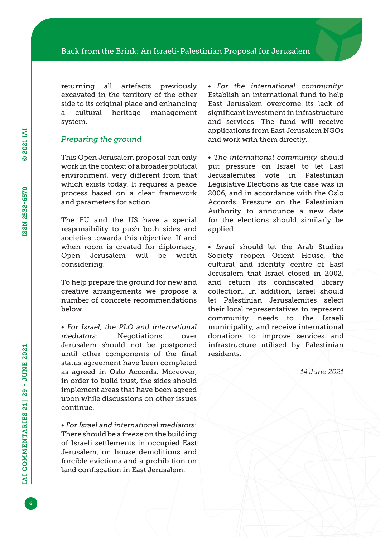returning all artefacts previously excavated in the territory of the other side to its original place and enhancing a cultural heritage management system.

#### *Preparing the ground*

This Open Jerusalem proposal can only work in the context of a broader political environment, very different from that which exists today. It requires a peace process based on a clear framework and parameters for action.

The EU and the US have a special responsibility to push both sides and societies towards this objective. If and when room is created for diplomacy, Open Jerusalem will be worth considering.

To help prepare the ground for new and creative arrangements we propose a number of concrete recommendations below.

• *For Israel, the PLO and international mediators*: Negotiations over Jerusalem should not be postponed until other components of the final status agreement have been completed as agreed in Oslo Accords. Moreover, in order to build trust, the sides should implement areas that have been agreed upon while discussions on other issues continue.

• *For Israel and international mediators*: There should be a freeze on the building of Israeli settlements in occupied East Jerusalem, on house demolitions and forcible evictions and a prohibition on land confiscation in East Jerusalem.

• *For the international community*: Establish an international fund to help East Jerusalem overcome its lack of significant investment in infrastructure and services. The fund will receive applications from East Jerusalem NGOs and work with them directly.

• *The international community* should put pressure on Israel to let East Jerusalemites vote in Palestinian Legislative Elections as the case was in 2006, and in accordance with the Oslo Accords. Pressure on the Palestinian Authority to announce a new date for the elections should similarly be applied.

• *Israel* should let the Arab Studies Society reopen Orient House, the cultural and identity centre of East Jerusalem that Israel closed in 2002, and return its confiscated library collection. In addition, Israel should let Palestinian Jerusalemites select their local representatives to represent community needs to the Israeli municipality, and receive international donations to improve services and infrastructure utilised by Palestinian residents.

*14 June 2021*

6